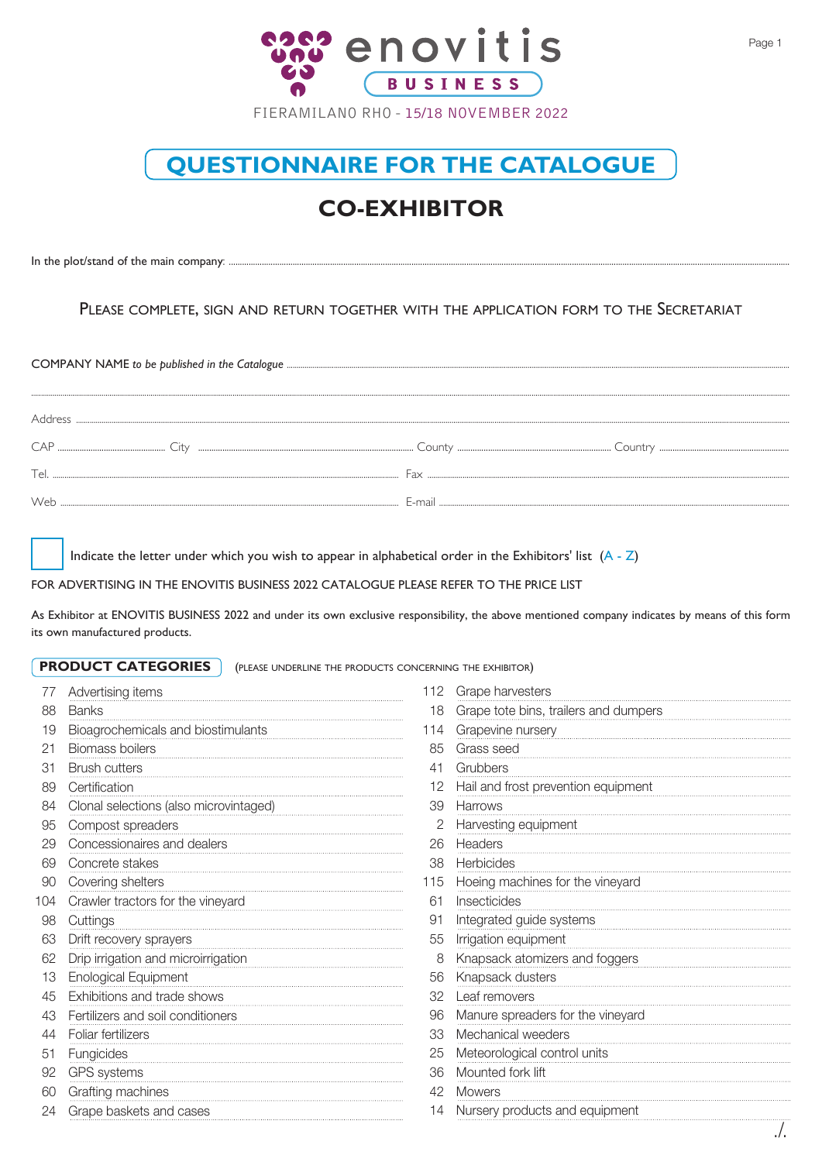

## **QUESTIONNAIRE FOR THE CATALOGUE**

## **CO-EXHIBITOR**

In the plot/stand of the main company: ....

## PLEASE COMPLETE, SIGN AND RETURN TOGETHER WITH THE APPLICATION FORM TO THE SECRETARIAT

| Tel. | Fax |  |  |  |  |
|------|-----|--|--|--|--|
|      |     |  |  |  |  |

Indicate the letter under which you wish to appear in alphabetical order in the Exhibitors' list  $(A - Z)$ 

FOR ADVERTISING IN THE ENOVITIS BUSINESS 2022 CATALOGUE PLEASE REFER TO THE PRICE LIST

As Exhibitor at ENOVITIS BUSINESS 2022 and under its own exclusive responsibility, the above mentioned company indicates by means of this form its own manufactured products.

**PRODUCT CATEGORIES** (PLEASE UNDERLINE THE PRODUCTS CONCERNING THE EXHIBITOR)

|     | Advertising items                      | 112 | Grape harvesters                      |  |
|-----|----------------------------------------|-----|---------------------------------------|--|
| 88  | <b>Banks</b>                           | 18  | Grape tote bins, trailers and dumpers |  |
| 19  | Bioagrochemicals and biostimulants     | 114 | Grapevine nursery                     |  |
| 21  | Biomass boilers                        | 85  | Grass seed                            |  |
| 31  | <b>Brush cutters</b>                   | 41  | Grubbers                              |  |
| 89  | Certification                          |     | Hail and frost prevention equipment   |  |
| 84  | Clonal selections (also microvintaged) | 39  | <b>Harrows</b>                        |  |
| 95  | Compost spreaders                      |     | Harvesting equipment                  |  |
| 29  | Concessionaires and dealers            | 26  | Headers                               |  |
| 69  | Concrete stakes                        | 38  | Herbicides                            |  |
| 90  | Covering shelters                      | 115 | Hoeing machines for the vineyard      |  |
| 104 | Crawler tractors for the vineyard      | 61  | Insecticides                          |  |
| 98  | Cuttings                               | 91  | Integrated guide systems              |  |
| 63  | Drift recovery sprayers                | 55  | Irrigation equipment                  |  |
| 62  | Drip irrigation and microirrigation    | 8   | Knapsack atomizers and foggers        |  |
| 13  | <b>Enological Equipment</b>            | 56  | Knapsack dusters                      |  |
| 45  | Exhibitions and trade shows            | 32  | Leaf removers                         |  |
| 43  | Fertilizers and soil conditioners      | 96  | Manure spreaders for the vineyard     |  |
| 44  | Foliar fertilizers                     | 33  | Mechanical weeders                    |  |
| 51  | Fungicides                             | 25  | Meteorological control units          |  |
| 92  | GPS systems                            | 36  | Mounted fork lift                     |  |
| 60  | Grafting machines                      | 42  | <b>Mowers</b>                         |  |
| 24  | Grape baskets and cases                |     | Nursery products and equipment        |  |
|     |                                        |     | $l_{\rm i}$                           |  |